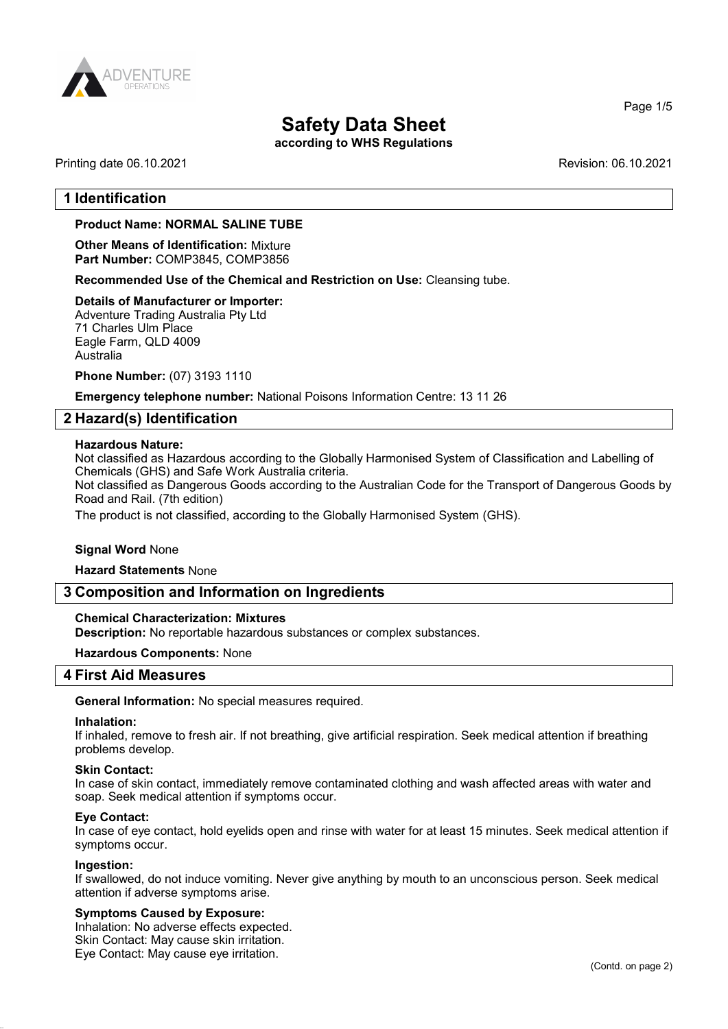

according to WHS Regulations

### Printing date 06.10.2021 Revision: 06.10.2021

Page 1/5

# 1 Identification

## Product Name: NORMAL SALINE TUBE

Other Means of Identification: Mixture Part Number: COMP3845, COMP3856

Recommended Use of the Chemical and Restriction on Use: Cleansing tube.

## Details of Manufacturer or Importer:

Adventure Trading Australia Pty Ltd 71 Charles Ulm Place Eagle Farm, QLD 4009 Australia

Phone Number: (07) 3193 1110

Emergency telephone number: National Poisons Information Centre: 13 11 26

## 2 Hazard(s) Identification

#### Hazardous Nature:

Not classified as Hazardous according to the Globally Harmonised System of Classification and Labelling of Chemicals (GHS) and Safe Work Australia criteria.

Not classified as Dangerous Goods according to the Australian Code for the Transport of Dangerous Goods by Road and Rail. (7th edition)

The product is not classified, according to the Globally Harmonised System (GHS).

## Signal Word None

#### Hazard Statements None

## 3 Composition and Information on Ingredients

#### Chemical Characterization: Mixtures

Description: No reportable hazardous substances or complex substances.

#### Hazardous Components: None

## 4 First Aid Measures

#### General Information: No special measures required.

#### Inhalation:

If inhaled, remove to fresh air. If not breathing, give artificial respiration. Seek medical attention if breathing problems develop.

#### Skin Contact:

In case of skin contact, immediately remove contaminated clothing and wash affected areas with water and soap. Seek medical attention if symptoms occur.

#### Eye Contact:

In case of eye contact, hold eyelids open and rinse with water for at least 15 minutes. Seek medical attention if symptoms occur.

#### Ingestion:

If swallowed, do not induce vomiting. Never give anything by mouth to an unconscious person. Seek medical attention if adverse symptoms arise.

#### Symptoms Caused by Exposure:

Inhalation: No adverse effects expected. Skin Contact: May cause skin irritation. Eye Contact: May cause eye irritation.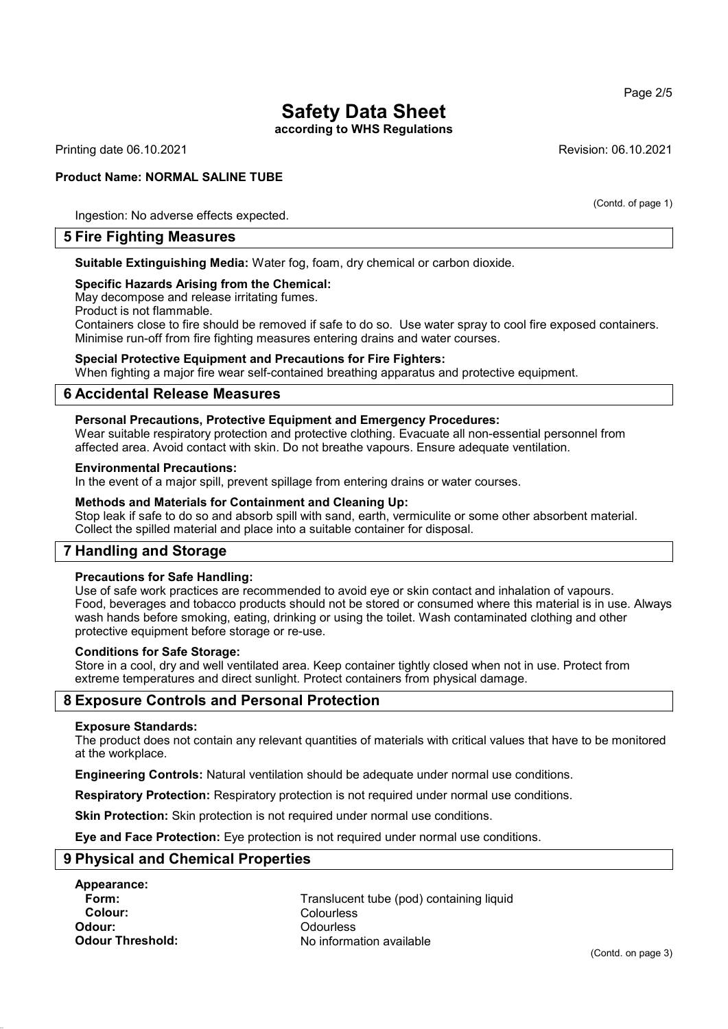according to WHS Regulations

Printing date 06.10.2021 Revision: 06.10.2021

## Product Name: NORMAL SALINE TUBE

Ingestion: No adverse effects expected.

# 5 Fire Fighting Measures

Suitable Extinguishing Media: Water fog, foam, dry chemical or carbon dioxide.

#### Specific Hazards Arising from the Chemical:

May decompose and release irritating fumes.

Product is not flammable.

Containers close to fire should be removed if safe to do so. Use water spray to cool fire exposed containers. Minimise run-off from fire fighting measures entering drains and water courses.

#### Special Protective Equipment and Precautions for Fire Fighters:

When fighting a major fire wear self-contained breathing apparatus and protective equipment.

## 6 Accidental Release Measures

#### Personal Precautions, Protective Equipment and Emergency Procedures:

Wear suitable respiratory protection and protective clothing. Evacuate all non-essential personnel from affected area. Avoid contact with skin. Do not breathe vapours. Ensure adequate ventilation.

#### Environmental Precautions:

In the event of a major spill, prevent spillage from entering drains or water courses.

#### Methods and Materials for Containment and Cleaning Up:

Stop leak if safe to do so and absorb spill with sand, earth, vermiculite or some other absorbent material. Collect the spilled material and place into a suitable container for disposal.

## 7 Handling and Storage

#### Precautions for Safe Handling:

Use of safe work practices are recommended to avoid eye or skin contact and inhalation of vapours. Food, beverages and tobacco products should not be stored or consumed where this material is in use. Always wash hands before smoking, eating, drinking or using the toilet. Wash contaminated clothing and other protective equipment before storage or re-use.

#### Conditions for Safe Storage:

Store in a cool, dry and well ventilated area. Keep container tightly closed when not in use. Protect from extreme temperatures and direct sunlight. Protect containers from physical damage.

## 8 Exposure Controls and Personal Protection

#### Exposure Standards:

The product does not contain any relevant quantities of materials with critical values that have to be monitored at the workplace.

Engineering Controls: Natural ventilation should be adequate under normal use conditions.

Respiratory Protection: Respiratory protection is not required under normal use conditions.

**Skin Protection:** Skin protection is not required under normal use conditions.

Eye and Face Protection: Eye protection is not required under normal use conditions.

## 9 Physical and Chemical Properties

Appearance: Colour: Colourless Odour: Odourless

**Form:** Translucent tube (pod) containing liquid **Odour Threshold:** No information available

(Contd. of page 1)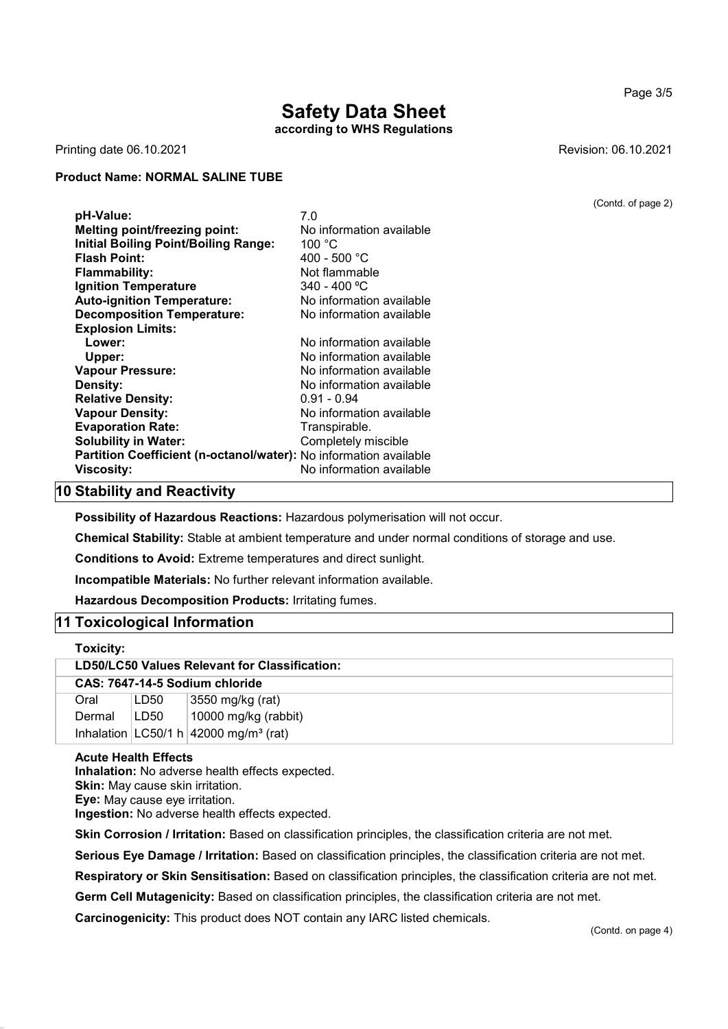according to WHS Regulations

Printing date 06.10.2021 Revision: 06.10.2021

### Product Name: NORMAL SALINE TUBE

(Contd. of page 2) pH-Value: 7.0 Melting point/freezing point: No information available Initial Boiling Point/Boiling Range: 100 °C Flash Point: 400 - 500 °C **Flammability:** Not flammable Ignition Temperature 340 - 400 °C Auto-ignition Temperature: No information available **Decomposition Temperature:** No information available Explosion Limits: **Lower:** No information available Upper: Upper: No information available Vapour Pressure:<br>
Density: No information available<br>
No information available No information available Relative Density: 0.91 - 0.94 Vapour Density: No information available Evaporation Rate: Transpirable. Solubility in Water: Completely miscible Partition Coefficient (n-octanol/water): No information available Viscosity: Viscosity: No information available

# 10 Stability and Reactivity

Possibility of Hazardous Reactions: Hazardous polymerisation will not occur.

Chemical Stability: Stable at ambient temperature and under normal conditions of storage and use.

Conditions to Avoid: Extreme temperatures and direct sunlight.

Incompatible Materials: No further relevant information available.

Hazardous Decomposition Products: Irritating fumes.

## 11 Toxicological Information

## Toxicity:

# LD50/LC50 Values Relevant for Classification:

| CAS: 7647-14-5 Sodium chloride |      |                                          |  |
|--------------------------------|------|------------------------------------------|--|
| Oral                           | LD50 | 3550 mg/kg (rat)                         |  |
| Dermal                         | LD50 | 10000 mg/kg (rabbit)                     |  |
|                                |      | Inhalation $ LC50/1 h 42000 mg/m3$ (rat) |  |

#### Acute Health Effects

Inhalation: No adverse health effects expected.

Skin: May cause skin irritation.

Eye: May cause eye irritation.

Ingestion: No adverse health effects expected.

Skin Corrosion / Irritation: Based on classification principles, the classification criteria are not met.

Serious Eye Damage / Irritation: Based on classification principles, the classification criteria are not met.

Respiratory or Skin Sensitisation: Based on classification principles, the classification criteria are not met.

Germ Cell Mutagenicity: Based on classification principles, the classification criteria are not met.

Carcinogenicity: This product does NOT contain any IARC listed chemicals.

(Contd. on page 4)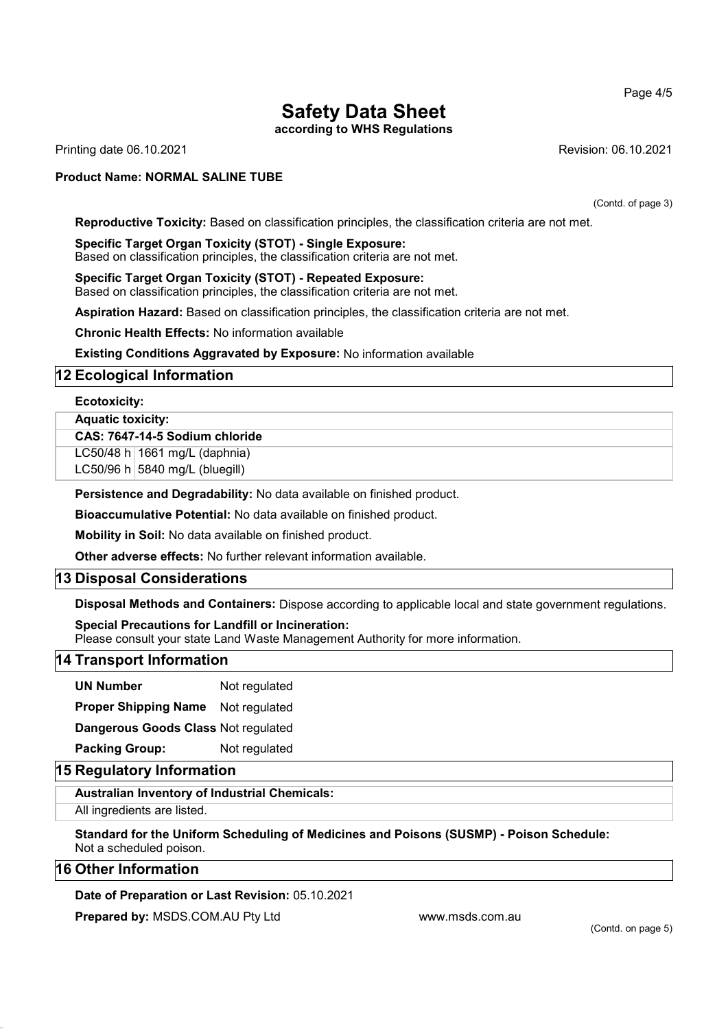Page 4/5

# Safety Data Sheet

according to WHS Regulations

Printing date 06.10.2021 Revision: 06.10.2021

## Product Name: NORMAL SALINE TUBE

(Contd. of page 3)

Reproductive Toxicity: Based on classification principles, the classification criteria are not met.

Specific Target Organ Toxicity (STOT) - Single Exposure: Based on classification principles, the classification criteria are not met.

Specific Target Organ Toxicity (STOT) - Repeated Exposure: Based on classification principles, the classification criteria are not met.

Aspiration Hazard: Based on classification principles, the classification criteria are not met.

Chronic Health Effects: No information available

Existing Conditions Aggravated by Exposure: No information available

## 12 Ecological Information

## Ecotoxicity:

## Aquatic toxicity:

CAS: 7647-14-5 Sodium chloride

LC50/48 h 1661 mg/L (daphnia)

LC50/96 h  $5840$  mg/L (bluegill)

Persistence and Degradability: No data available on finished product.

Bioaccumulative Potential: No data available on finished product.

Mobility in Soil: No data available on finished product.

Other adverse effects: No further relevant information available.

## 13 Disposal Considerations

Disposal Methods and Containers: Dispose according to applicable local and state government regulations.

Special Precautions for Landfill or Incineration:

Please consult your state Land Waste Management Authority for more information.

# 14 Transport Information

UN Number Not regulated

Proper Shipping Name Not regulated

Dangerous Goods Class Not regulated

Packing Group: Not regulated

## 15 Regulatory Information

Australian Inventory of Industrial Chemicals:

All ingredients are listed.

Standard for the Uniform Scheduling of Medicines and Poisons (SUSMP) - Poison Schedule: Not a scheduled poison.

## 16 Other Information

Date of Preparation or Last Revision: 05.10.2021

**Prepared by: MSDS.COM.AU Pty Ltd Wave Communist Communist Communist Communist Prepared My Communist Prepared My Communist Prepared My Communist Prepared My Communist Prepared My Communist Prepared My Communist Prepared My** 

(Contd. on page 5)